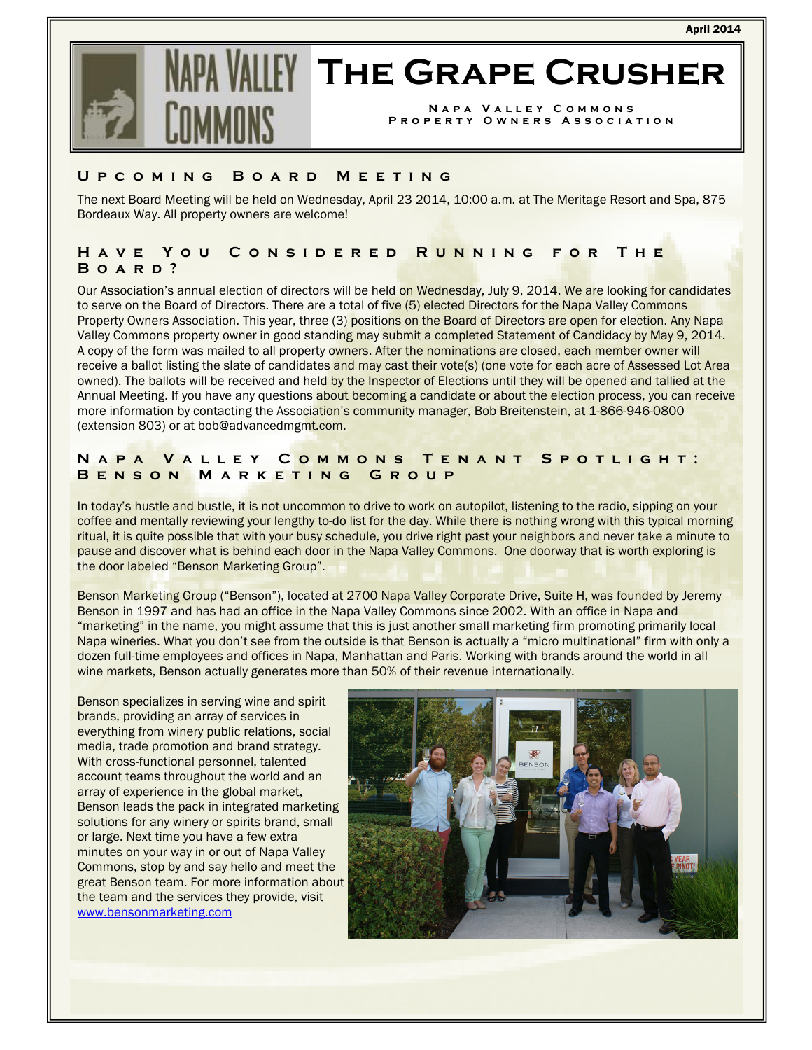

# **IFY THE GRAPE CRUSHER**

NAPA VALLEY COMMONS PROPERTY OWNERS ASSOCIATION

# U P C O M I N G B O A R D M E E T I N G

The next Board Meeting will be held on Wednesday, April 23 2014, 10:00 a.m. at The Meritage Resort and Spa, 875 Bordeaux Way. All property owners are welcome!

# H A V E Y O U C O N S I D E R E D R U N N I N G F O R T H E BOARD?

Our Association's annual election of directors will be held on Wednesday, July 9, 2014. We are looking for candidates to serve on the Board of Directors. There are a total of five (5) elected Directors for the Napa Valley Commons Property Owners Association. This year, three (3) positions on the Board of Directors are open for election. Any Napa Valley Commons property owner in good standing may submit a completed Statement of Candidacy by May 9, 2014. A copy of the form was mailed to all property owners. After the nominations are closed, each member owner will receive a ballot listing the slate of candidates and may cast their vote(s) (one vote for each acre of Assessed Lot Area owned). The ballots will be received and held by the Inspector of Elections until they will be opened and tallied at the Annual Meeting. If you have any questions about becoming a candidate or about the election process, you can receive more information by contacting the Association's community manager, Bob Breitenstein, at 1-866-946-0800 (extension 803) or at bob@advancedmgmt.com.

# N A P A V A L L E Y C O M M O N S T E N A N T S P O T L I G H T : BENSON MARKETING GROUP

In today's hustle and bustle, it is not uncommon to drive to work on autopilot, listening to the radio, sipping on your coffee and mentally reviewing your lengthy to-do list for the day. While there is nothing wrong with this typical morning ritual, it is quite possible that with your busy schedule, you drive right past your neighbors and never take a minute to pause and discover what is behind each door in the Napa Valley Commons. One doorway that is worth exploring is the door labeled "Benson Marketing Group".

Benson Marketing Group ("Benson"), located at 2700 Napa Valley Corporate Drive, Suite H, was founded by Jeremy Benson in 1997 and has had an office in the Napa Valley Commons since 2002. With an office in Napa and "marketing" in the name, you might assume that this is just another small marketing firm promoting primarily local Napa wineries. What you don't see from the outside is that Benson is actually a "micro multinational" firm with only a dozen full-time employees and offices in Napa, Manhattan and Paris. Working with brands around the world in all wine markets, Benson actually generates more than 50% of their revenue internationally.

Benson specializes in serving wine and spirit brands, providing an array of services in everything from winery public relations, social media, trade promotion and brand strategy. With cross-functional personnel, talented account teams throughout the world and an array of experience in the global market, Benson leads the pack in integrated marketing solutions for any winery or spirits brand, small or large. Next time you have a few extra minutes on your way in or out of Napa Valley Commons, stop by and say hello and meet the great Benson team. For more information about the team and the services they provide, visit www.bensonmarketing.com

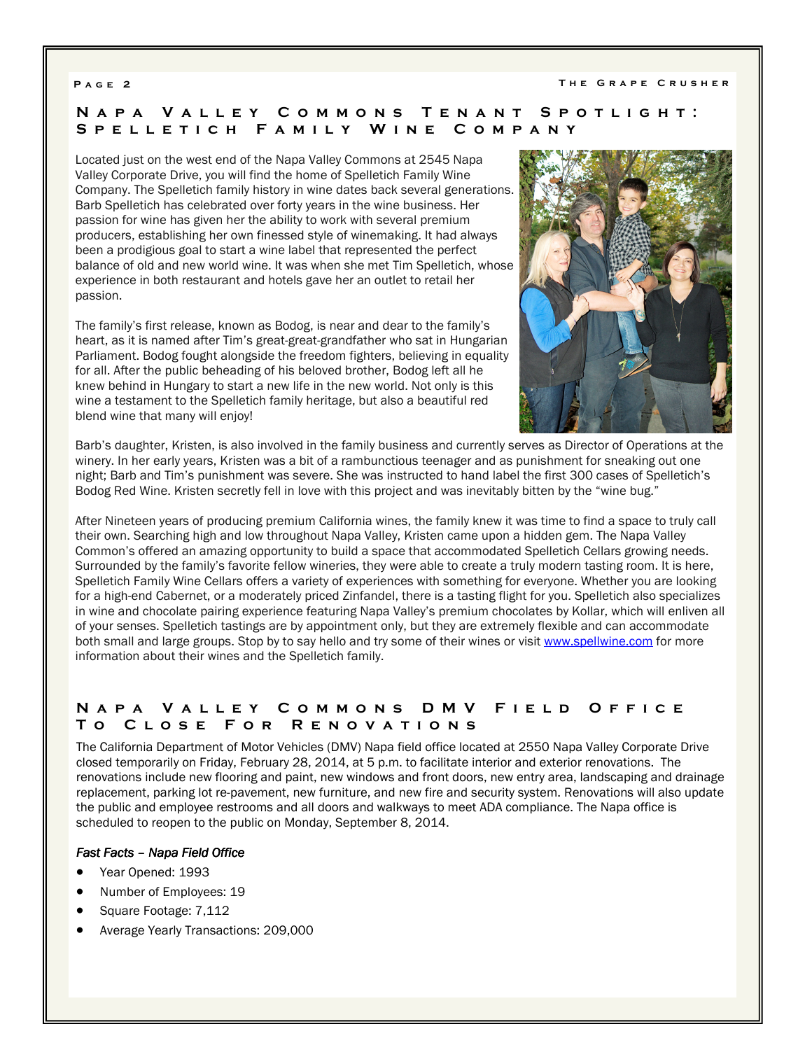# N A P A V A L L E Y C O M M O N S T E N A N T S P O T L I G H T : S P E L L E T I C H F A M I L Y W I N E C O M P A N Y

Located just on the west end of the Napa Valley Commons at 2545 Napa Valley Corporate Drive, you will find the home of Spelletich Family Wine Company. The Spelletich family history in wine dates back several generations. Barb Spelletich has celebrated over forty years in the wine business. Her passion for wine has given her the ability to work with several premium producers, establishing her own finessed style of winemaking. It had always been a prodigious goal to start a wine label that represented the perfect balance of old and new world wine. It was when she met Tim Spelletich, whose experience in both restaurant and hotels gave her an outlet to retail her passion.

The family's first release, known as Bodog, is near and dear to the family's heart, as it is named after Tim's great-great-grandfather who sat in Hungarian Parliament. Bodog fought alongside the freedom fighters, believing in equality for all. After the public beheading of his beloved brother, Bodog left all he knew behind in Hungary to start a new life in the new world. Not only is this wine a testament to the Spelletich family heritage, but also a beautiful red blend wine that many will enjoy!



Barb's daughter, Kristen, is also involved in the family business and currently serves as Director of Operations at the winery. In her early years, Kristen was a bit of a rambunctious teenager and as punishment for sneaking out one night; Barb and Tim's punishment was severe. She was instructed to hand label the first 300 cases of Spelletich's Bodog Red Wine. Kristen secretly fell in love with this project and was inevitably bitten by the "wine bug."

After Nineteen years of producing premium California wines, the family knew it was time to find a space to truly call their own. Searching high and low throughout Napa Valley, Kristen came upon a hidden gem. The Napa Valley Common's offered an amazing opportunity to build a space that accommodated Spelletich Cellars growing needs. Surrounded by the family's favorite fellow wineries, they were able to create a truly modern tasting room. It is here, Spelletich Family Wine Cellars offers a variety of experiences with something for everyone. Whether you are looking for a high-end Cabernet, or a moderately priced Zinfandel, there is a tasting flight for you. Spelletich also specializes in wine and chocolate pairing experience featuring Napa Valley's premium chocolates by Kollar, which will enliven all of your senses. Spelletich tastings are by appointment only, but they are extremely flexible and can accommodate both small and large groups. Stop by to say hello and try some of their wines or visit www.spellwine.com for more information about their wines and the Spelletich family.

# N A P A V A L L E Y C O M M O N S D M V F I E L D O F F I C E T o C l o s e F o r R e n o v a t i o n s

The California Department of Motor Vehicles (DMV) Napa field office located at 2550 Napa Valley Corporate Drive closed temporarily on Friday, February 28, 2014, at 5 p.m. to facilitate interior and exterior renovations. The renovations include new flooring and paint, new windows and front doors, new entry area, landscaping and drainage replacement, parking lot re-pavement, new furniture, and new fire and security system. Renovations will also update the public and employee restrooms and all doors and walkways to meet ADA compliance. The Napa office is scheduled to reopen to the public on Monday, September 8, 2014.

### Fast Facts - Napa Field Office

- Year Opened: 1993
- Number of Employees: 19
- Square Footage: 7,112
- Average Yearly Transactions: 209,000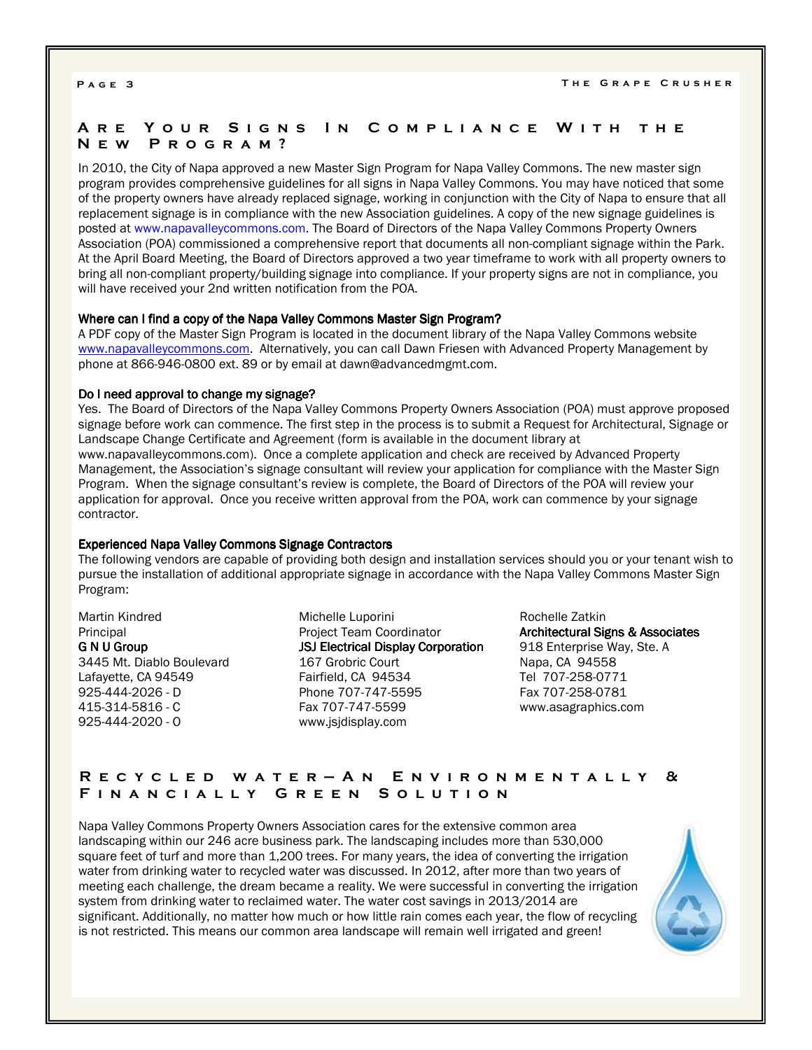# A R E Y O U R S I G N S I N C O M P L I A N C E W I T H T H E N e w P r o g r a m ?

In 2010, the City of Napa approved a new Master Sign Program for Napa Valley Commons. The new master sign program provides comprehensive guidelines for all signs in Napa Valley Commons. You may have noticed that some of the property owners have already replaced signage, working in conjunction with the City of Napa to ensure that all replacement signage is in compliance with the new Association guidelines. A copy of the new signage guidelines is posted at www.napavalleycommons.com. The Board of Directors of the Napa Valley Commons Property Owners Association (POA) commissioned a comprehensive report that documents all non-compliant signage within the Park. At the April Board Meeting, the Board of Directors approved a two year timeframe to work with all property owners to bring all non-compliant property/building signage into compliance. If your property signs are not in compliance, you will have received your 2nd written notification from the POA.

### Where can I find a copy of the Napa Valley Commons Master Sign Program?

A PDF copy of the Master Sign Program is located in the document library of the Napa Valley Commons website www.napavalleycommons.com. Alternatively, you can call Dawn Friesen with Advanced Property Management by phone at 866-946-0800 ext. 89 or by email at dawn@advancedmgmt.com.

### Do I need approval to change my signage?

Yes. The Board of Directors of the Napa Valley Commons Property Owners Association (POA) must approve proposed signage before work can commence. The first step in the process is to submit a Request for Architectural, Signage or Landscape Change Certificate and Agreement (form is available in the document library at www.napavalleycommons.com). Once a complete application and check are received by Advanced Property Management, the Association's signage consultant will review your application for compliance with the Master Sign Program. When the signage consultant's review is complete, the Board of Directors of the POA will review your application for approval. Once you receive written approval from the POA, work can commence by your signage contractor.

### Experienced Napa Valley Commons Signage Contractors

The following vendors are capable of providing both design and installation services should you or your tenant wish to pursue the installation of additional appropriate signage in accordance with the Napa Valley Commons Master Sign Program:

Martin Kindred Principal G N U Group 3445 Mt. Diablo Boulevard Lafayette, CA 94549 925-444-2026 - D 415-314-5816 - C 925-444-2020 - O

Michelle Luporini Project Team Coordinator JSJ Electrical Display Corporation 167 Grobric Court Fairfield, CA 94534 Phone 707-747-5595 Fax 707-747-5599 www.jsjdisplay.com

Rochelle Zatkin Architectural Signs & Associates 918 Enterprise Way, Ste. A Napa, CA 94558 Tel 707-258-0771 Fax 707-258-0781 www.asagraphics.com

# R E C Y C L E D W A T E R - A N E N V I R O N M E N T A L L Y & FINANCIALLY GREEN SOLUTION

Napa Valley Commons Property Owners Association cares for the extensive common area landscaping within our 246 acre business park. The landscaping includes more than 530,000 square feet of turf and more than 1,200 trees. For many years, the idea of converting the irrigation water from drinking water to recycled water was discussed. In 2012, after more than two years of meeting each challenge, the dream became a reality. We were successful in converting the irrigation system from drinking water to reclaimed water. The water cost savings in 2013/2014 are significant. Additionally, no matter how much or how little rain comes each year, the flow of recycling is not restricted. This means our common area landscape will remain well irrigated and green!

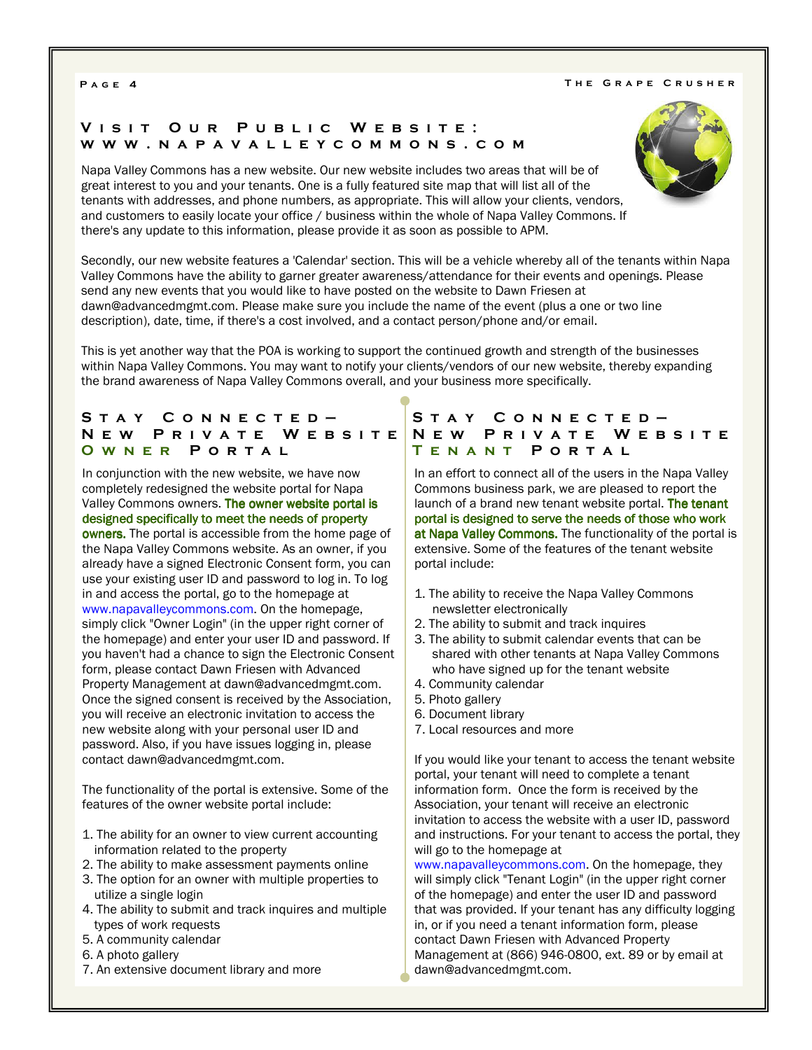#### P A G E 4 T H E G R A P E C R U S H E R A P E C R U S H E R

# VISIT OUR PUBLIC WEBSITE: w w w . n a p a v a l l e y c o m m o n s . c o m

Napa Valley Commons has a new website. Our new website includes two areas that will be of great interest to you and your tenants. One is a fully featured site map that will list all of the tenants with addresses, and phone numbers, as appropriate. This will allow your clients, vendors, and customers to easily locate your office / business within the whole of Napa Valley Commons. If there's any update to this information, please provide it as soon as possible to APM.

Secondly, our new website features a 'Calendar' section. This will be a vehicle whereby all of the tenants within Napa Valley Commons have the ability to garner greater awareness/attendance for their events and openings. Please send any new events that you would like to have posted on the website to Dawn Friesen at dawn@advancedmgmt.com. Please make sure you include the name of the event (plus a one or two line description), date, time, if there's a cost involved, and a contact person/phone and/or email.

This is yet another way that the POA is working to support the continued growth and strength of the businesses within Napa Valley Commons. You may want to notify your clients/vendors of our new website, thereby expanding the brand awareness of Napa Valley Commons overall, and your business more specifically.

## STAY CONNECTED-N E W P R I V A T E W E B S I T E O W N E R PORTAL

In conjunction with the new website, we have now completely redesigned the website portal for Napa Valley Commons owners. The owner website portal is designed specifically to meet the needs of property owners. The portal is accessible from the home page of the Napa Valley Commons website. As an owner, if you already have a signed Electronic Consent form, you can use your existing user ID and password to log in. To log in and access the portal, go to the homepage at www.napavalleycommons.com. On the homepage, simply click "Owner Login" (in the upper right corner of the homepage) and enter your user ID and password. If you haven't had a chance to sign the Electronic Consent form, please contact Dawn Friesen with Advanced Property Management at dawn@advancedmgmt.com. Once the signed consent is received by the Association, you will receive an electronic invitation to access the new website along with your personal user ID and password. Also, if you have issues logging in, please contact dawn@advancedmgmt.com.

The functionality of the portal is extensive. Some of the features of the owner website portal include:

- 1. The ability for an owner to view current accounting information related to the property
- 2. The ability to make assessment payments online
- 3. The option for an owner with multiple properties to utilize a single login
- 4. The ability to submit and track inquires and multiple types of work requests
- 5. A community calendar
- 6. A photo gallery
- 7. An extensive document library and more

# STAY CONNECTED-N E W P R I V A T E W E B S I T E TENANT PORTAL

In an effort to connect all of the users in the Napa Valley Commons business park, we are pleased to report the launch of a brand new tenant website portal. The tenant portal is designed to serve the needs of those who work at Napa Valley Commons. The functionality of the portal is extensive. Some of the features of the tenant website portal include:

- 1. The ability to receive the Napa Valley Commons newsletter electronically
- 2. The ability to submit and track inquires
- 3. The ability to submit calendar events that can be shared with other tenants at Napa Valley Commons who have signed up for the tenant website
- 4. Community calendar
- 5. Photo gallery
- 6. Document library
- 7. Local resources and more

If you would like your tenant to access the tenant website portal, your tenant will need to complete a tenant information form. Once the form is received by the Association, your tenant will receive an electronic invitation to access the website with a user ID, password and instructions. For your tenant to access the portal, they will go to the homepage at

www.napavalleycommons.com. On the homepage, they will simply click "Tenant Login" (in the upper right corner of the homepage) and enter the user ID and password that was provided. If your tenant has any difficulty logging in, or if you need a tenant information form, please contact Dawn Friesen with Advanced Property Management at (866) 946-0800, ext. 89 or by email at dawn@advancedmgmt.com.